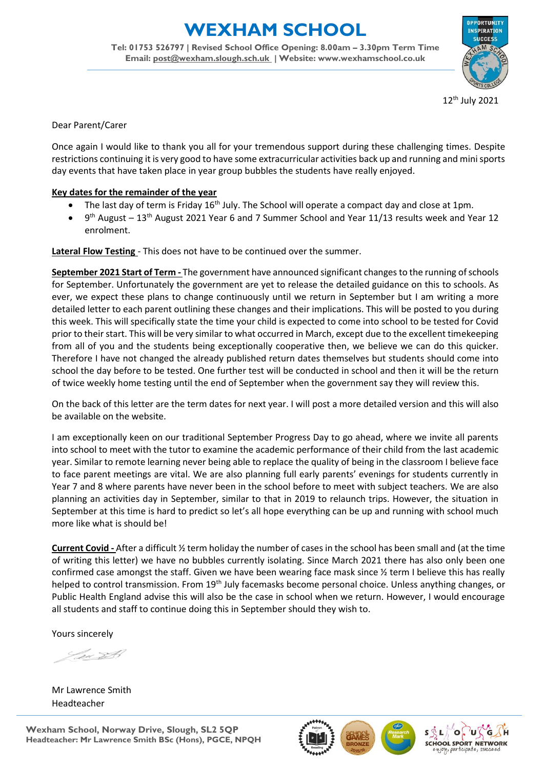## **EXHAM SCHOOL**

**Tel: 01753 526797 | Revised School Office Opening: 8.00am – 3.30pm Term Time Email: [post@wexham.slough.sch.uk](mailto:post@wexham.slough.sch.uk) | Website: www.wexhamschool.co.uk**



12th July 2021

Dear Parent/Carer

Once again I would like to thank you all for your tremendous support during these challenging times. Despite restrictions continuing it is very good to have some extracurricular activities back up and running and mini sports day events that have taken place in year group bubbles the students have really enjoyed.

## **Key dates for the remainder of the year**

- The last day of term is Friday 16<sup>th</sup> July. The School will operate a compact day and close at 1pm.
- 9<sup>th</sup> August 13<sup>th</sup> August 2021 Year 6 and 7 Summer School and Year 11/13 results week and Year 12 enrolment.

**Lateral Flow Testing** - This does not have to be continued over the summer.

**September 2021 Start of Term -** The government have announced significant changes to the running of schools for September. Unfortunately the government are yet to release the detailed guidance on this to schools. As ever, we expect these plans to change continuously until we return in September but I am writing a more detailed letter to each parent outlining these changes and their implications. This will be posted to you during this week. This will specifically state the time your child is expected to come into school to be tested for Covid prior to their start. This will be very similar to what occurred in March, except due to the excellent timekeeping from all of you and the students being exceptionally cooperative then, we believe we can do this quicker. Therefore I have not changed the already published return dates themselves but students should come into school the day before to be tested. One further test will be conducted in school and then it will be the return of twice weekly home testing until the end of September when the government say they will review this.

On the back of this letter are the term dates for next year. I will post a more detailed version and this will also be available on the website.

I am exceptionally keen on our traditional September Progress Day to go ahead, where we invite all parents into school to meet with the tutor to examine the academic performance of their child from the last academic year. Similar to remote learning never being able to replace the quality of being in the classroom I believe face to face parent meetings are vital. We are also planning full early parents' evenings for students currently in Year 7 and 8 where parents have never been in the school before to meet with subject teachers. We are also planning an activities day in September, similar to that in 2019 to relaunch trips. However, the situation in September at this time is hard to predict so let's all hope everything can be up and running with school much more like what is should be!

**Current Covid -** After a difficult ½ term holiday the number of cases in the school has been small and (at the time of writing this letter) we have no bubbles currently isolating. Since March 2021 there has also only been one confirmed case amongst the staff. Given we have been wearing face mask since ½ term I believe this has really helped to control transmission. From 19<sup>th</sup> July facemasks become personal choice. Unless anything changes, or Public Health England advise this will also be the case in school when we return. However, I would encourage all students and staff to continue doing this in September should they wish to.

Yours sincerely

Sv SA

Mr Lawrence Smith Headteacher